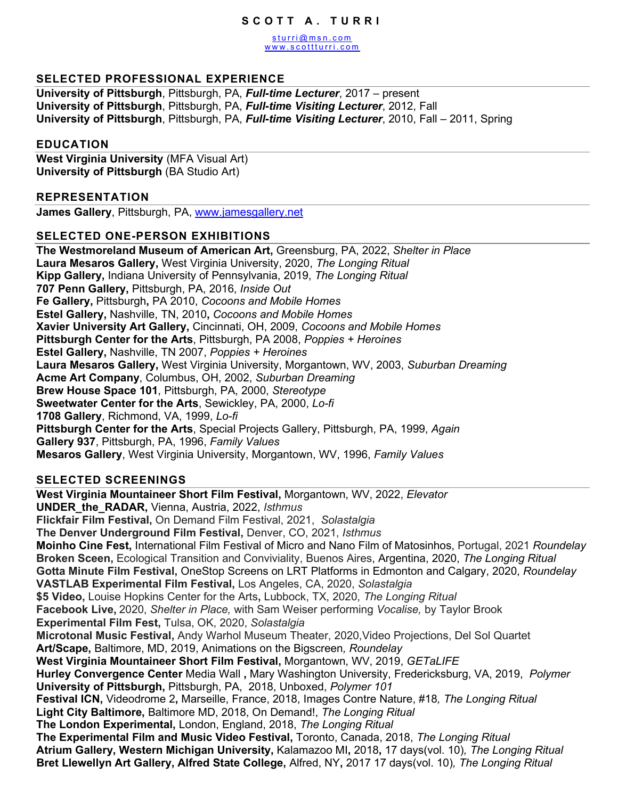#### **SCOTT A. TURRI**

[sturri@msn.com](mailto:STurri@msn.com) www.scottturri.com

### **SELECTED PROFESSIONAL EXPERIENCE**

**University of Pittsburgh**, Pittsburgh, PA, *Full-time Lecturer*, 2017 – present **University of Pittsburgh**, Pittsburgh, PA, *Full-tim***e** *Visiting Lecturer*, 2012, Fall **University of Pittsburgh**, Pittsburgh, PA, *Full-tim***e** *Visiting Lecturer*, 2010, Fall – 2011, Spring

#### **EDUCATION**

**West Virginia University** (MFA Visual Art) **University of Pittsburgh** (BA Studio Art)

#### **REPRESENTATION**

**James Gallery**, Pittsburgh, PA, www.jamesgallery.net

#### **SELECTED ONE-PERSON EXHIBITIONS**

**The Westmoreland Museum of American Art,** Greensburg, PA, 2022, *Shelter in Place* **Laura Mesaros Gallery,** West Virginia University, 2020, *The Longing Ritual* **Kipp Gallery,** Indiana University of Pennsylvania, 2019, *The Longing Ritual* **707 Penn Gallery,** Pittsburgh, PA, 2016, *Inside Out*  **Fe Gallery,** Pittsburgh**,** PA 2010, *Cocoons and Mobile Homes* **Estel Gallery,** Nashville, TN, 2010**,** *Cocoons and Mobile Homes* **Xavier University Art Gallery,** Cincinnati, OH, 2009, *Cocoons and Mobile Homes* **Pittsburgh Center for the Arts**, Pittsburgh, PA 2008, *Poppies + Heroines* **Estel Gallery,** Nashville, TN 2007, *Poppies + Heroines* **Laura Mesaros Gallery,** West Virginia University, Morgantown, WV, 2003, *Suburban Dreaming* **Acme Art Company**, Columbus, OH, 2002, *Suburban Dreaming* **Brew House Space 101**, Pittsburgh, PA, 2000, *Stereotype* **Sweetwater Center for the Arts**, Sewickley, PA, 2000, *Lo-fi* **1708 Gallery**, Richmond, VA, 1999, *Lo-fi* **Pittsburgh Center for the Arts**, Special Projects Gallery, Pittsburgh, PA, 1999, *Again*  **Gallery 937**, Pittsburgh, PA, 1996, *Family Values*  **Mesaros Gallery**, West Virginia University, Morgantown, WV, 1996, *Family Values* 

#### **SELECTED SCREENINGS**

**West Virginia Mountaineer Short Film Festival,** Morgantown, WV, 2022, *Elevator* **UNDER\_the\_RADAR,** Vienna, Austria, 2022, *Isthmus* **Flickfair Film Festival,** On Demand Film Festival, 2021, *Solastalgia* **The Denver Underground Film Festival,** Denver, CO, 2021, *Isthmus*  **Moinho Cine Fest,** International Film Festival of Micro and Nano Film of Matosinhos, Portugal, 2021 *Roundelay* **Broken Sceen,** Ecological Transition and Conviviality, Buenos Aires, Argentina, 2020, *The Longing Ritual* **Gotta Minute Film Festival,** OneStop Screens on LRT Platforms in Edmonton and Calgary, 2020, *Roundelay*  **VASTLAB Experimental Film Festival,** Los Angeles, CA, 2020, *Solastalgia*  **\$5 Video,** Louise Hopkins Center for the Arts**,** Lubbock, TX, 2020, *The Longing Ritual*  **Facebook Live,** 2020, *Shelter in Place,* with Sam Weiser performing *Vocalise,* by Taylor Brook **Experimental Film Fest,** Tulsa, OK, 2020, *Solastalgia* **Microtonal Music Festival,** Andy Warhol Museum Theater, 2020,Video Projections, Del Sol Quartet **Art/Scape,** Baltimore, MD, 2019, Animations on the Bigscreen*, Roundelay* **West Virginia Mountaineer Short Film Festival,** Morgantown, WV, 2019, *GETaLIFE* **Hurley Convergence Center** Media Wall **,** Mary Washington University, Fredericksburg, VA, 2019, *Polymer* **University of Pittsburgh,** Pittsburgh, PA, 2018, Unboxed, *Polymer 101* **Festival ICN,** Videodrome 2**,** Marseille, France, 2018, Images Contre Nature, #18*, The Longing Ritual*  **Light City Baltimore,** Baltimore MD, 2018, On Demand!, *The Longing Ritual* **The London Experimental,** London, England, 2018, *The Longing Ritual*  **The Experimental Film and Music Video Festival,** Toronto, Canada, 2018, *The Longing Ritual*  **Atrium Gallery, Western Michigan University,** Kalamazoo MI**,** 2018**,** 17 days(vol. 10)*, The Longing Ritual*  **Bret Llewellyn Art Gallery, Alfred State College,** Alfred, NY**,** 2017 17 days(vol. 10)*, The Longing Ritual*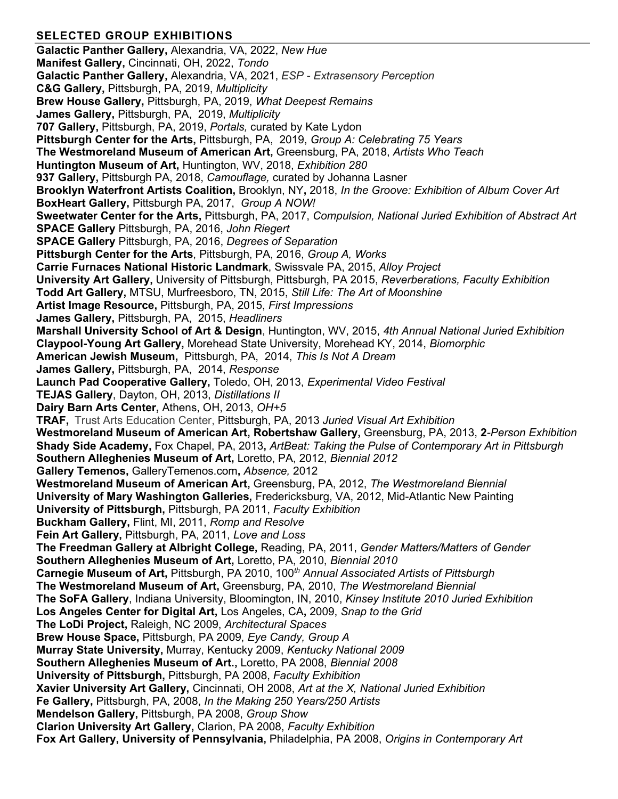# **SELECTED GROUP EXHIBITIONS**

**Galactic Panther Gallery,** Alexandria, VA, 2022, *New Hue* **Manifest Gallery,** Cincinnati, OH, 2022, *Tondo* **Galactic Panther Gallery,** Alexandria, VA, 2021, *ESP - Extrasensory Perception* **C&G Gallery,** Pittsburgh, PA, 2019, *Multiplicity*  **Brew House Gallery,** Pittsburgh, PA, 2019, *What Deepest Remains*  **James Gallery,** Pittsburgh, PA, 2019, *Multiplicity*  **707 Gallery,** Pittsburgh, PA, 2019, *Portals,* curated by Kate Lydon **Pittsburgh Center for the Arts,** Pittsburgh, PA, 2019, *Group A: Celebrating 75 Years*  **The Westmoreland Museum of American Art,** Greensburg, PA, 2018, *Artists Who Teach* **Huntington Museum of Art,** Huntington, WV, 2018, *Exhibition 280*  **937 Gallery,** Pittsburgh PA, 2018, *Camouflage,* curated by Johanna Lasner **Brooklyn Waterfront Artists Coalition,** Brooklyn, NY**,** 2018, *In the Groove: Exhibition of Album Cover Art* **BoxHeart Gallery,** Pittsburgh PA, 2017, *Group A NOW!* **Sweetwater Center for the Arts,** Pittsburgh, PA, 2017, *Compulsion, National Juried Exhibition of Abstract Art* **SPACE Gallery** Pittsburgh, PA, 2016, *John Riegert*  **SPACE Gallery** Pittsburgh, PA, 2016, *Degrees of Separation*  **Pittsburgh Center for the Arts**, Pittsburgh, PA, 2016, *Group A, Works* **Carrie Furnaces National Historic Landmark**, Swissvale PA, 2015, *Alloy Project* **University Art Gallery,** University of Pittsburgh, Pittsburgh, PA 2015, *Reverberations, Faculty Exhibition* **Todd Art Gallery,** MTSU, Murfreesboro, TN, 2015, *Still Life: The Art of Moonshine* **Artist Image Resource,** Pittsburgh, PA, 2015, *First Impressions* **James Gallery,** Pittsburgh, PA, 2015, *Headliners*  **Marshall University School of Art & Design**, Huntington, WV, 2015, *4th Annual National Juried Exhibition* **Claypool-Young Art Gallery,** Morehead State University, Morehead KY, 2014, *Biomorphic*  **American Jewish Museum,** Pittsburgh, PA, 2014, *This Is Not A Dream* **James Gallery,** Pittsburgh, PA, 2014, *Response* **Launch Pad Cooperative Gallery,** Toledo, OH, 2013, *Experimental Video Festival* **TEJAS Gallery**, Dayton, OH, 2013, *Distillations II* **Dairy Barn Arts Center,** Athens, OH, 2013, *OH+5* **TRAF,** Trust Arts Education Center, Pittsburgh, PA, 2013 *Juried Visual Art Exhibition*  **Westmoreland Museum of American Art, Robertshaw Gallery,** Greensburg, PA, 2013, **2***-Person Exhibition* **Shady Side Academy,** Fox Chapel, PA, 2013**,** *ArtBeat: Taking the Pulse of Contemporary Art in Pittsburgh* **Southern Alleghenies Museum of Art,** Loretto, PA, 2012, *Biennial 2012* **Gallery Temenos,** GalleryTemenos.com**,** *Absence,* 2012 **Westmoreland Museum of American Art,** Greensburg, PA, 2012, *The Westmoreland Biennial*  **University of Mary Washington Galleries,** Fredericksburg, VA, 2012, Mid-Atlantic New Painting **University of Pittsburgh,** Pittsburgh, PA 2011, *Faculty Exhibition* **Buckham Gallery,** Flint, MI, 2011, *Romp and Resolve*  **Fein Art Gallery,** Pittsburgh, PA, 2011, *Love and Loss* **The Freedman Gallery at Albright College,** Reading, PA, 2011, *Gender Matters/Matters of Gender* **Southern Alleghenies Museum of Art,** Loretto, PA, 2010, *Biennial 2010* **Carnegie Museum of Art,** Pittsburgh, PA 2010, 100*th Annual Associated Artists of Pittsburgh* **The Westmoreland Museum of Art,** Greensburg, PA, 2010, *The Westmoreland Biennial* **The SoFA Gallery**, Indiana University, Bloomington, IN, 2010, *Kinsey Institute 2010 Juried Exhibition* **Los Angeles Center for Digital Art,** Los Angeles, CA**,** 2009, *Snap to the Grid* **The LoDi Project,** Raleigh, NC 2009, *Architectural Spaces* **Brew House Space,** Pittsburgh, PA 2009, *Eye Candy, Group A* **Murray State University,** Murray, Kentucky 2009, *Kentucky National 2009*  **Southern Alleghenies Museum of Art.,** Loretto, PA 2008, *Biennial 2008* **University of Pittsburgh,** Pittsburgh, PA 2008, *Faculty Exhibition* **Xavier University Art Gallery,** Cincinnati, OH 2008, *Art at the X, National Juried Exhibition*  **Fe Gallery,** Pittsburgh, PA, 2008, *In the Making 250 Years/250 Artists* **Mendelson Gallery,** Pittsburgh, PA 2008, *Group Show* **Clarion University Art Gallery,** Clarion, PA 2008, *Faculty Exhibition*  **Fox Art Gallery, University of Pennsylvania,** Philadelphia, PA 2008, *Origins in Contemporary Art*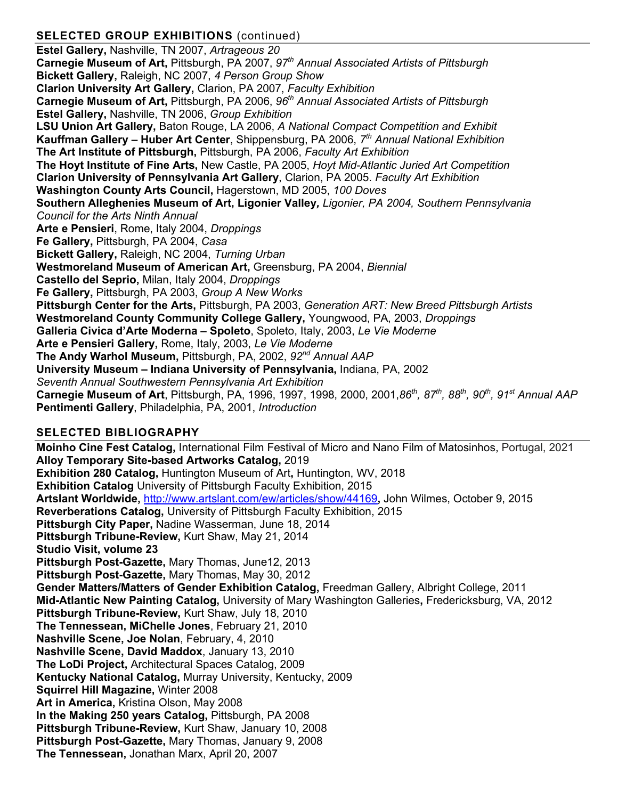# **SELECTED GROUP EXHIBITIONS** (continued)

**Estel Gallery,** Nashville, TN 2007, *Artrageous 20* **Carnegie Museum of Art,** Pittsburgh, PA 2007, *97th Annual Associated Artists of Pittsburgh* **Bickett Gallery,** Raleigh, NC 2007, *4 Person Group Show* **Clarion University Art Gallery,** Clarion, PA 2007, *Faculty Exhibition*  **Carnegie Museum of Art,** Pittsburgh, PA 2006, *96th Annual Associated Artists of Pittsburgh* **Estel Gallery,** Nashville, TN 2006, *Group Exhibition* **LSU Union Art Gallery,** Baton Rouge, LA 2006, *A National Compact Competition and Exhibit*  **Kauffman Gallery – Huber Art Center**, Shippensburg, PA 2006, *7th Annual National Exhibition* **The Art Institute of Pittsburgh,** Pittsburgh, PA 2006, *Faculty Art Exhibition* **The Hoyt Institute of Fine Arts,** New Castle, PA 2005, *Hoyt Mid-Atlantic Juried Art Competition* **Clarion University of Pennsylvania Art Gallery**, Clarion, PA 2005. *Faculty Art Exhibition* **Washington County Arts Council,** Hagerstown, MD 2005, *100 Doves* **Southern Alleghenies Museum of Art, Ligonier Valley***, Ligonier, PA 2004, Southern Pennsylvania Council for the Arts Ninth Annual* **Arte e Pensieri**, Rome, Italy 2004, *Droppings* **Fe Gallery,** Pittsburgh, PA 2004, *Casa* **Bickett Gallery,** Raleigh, NC 2004, *Turning Urban* **Westmoreland Museum of American Art,** Greensburg, PA 2004, *Biennial* **Castello del Seprio,** Milan, Italy 2004, *Droppings* **Fe Gallery,** Pittsburgh, PA 2003, *Group A New Works* **Pittsburgh Center for the Arts,** Pittsburgh, PA 2003, *Generation ART: New Breed Pittsburgh Artists* **Westmoreland County Community College Gallery,** Youngwood, PA, 2003, *Droppings* **Galleria Civica d'Arte Moderna – Spoleto**, Spoleto, Italy, 2003, *Le Vie Moderne* **Arte e Pensieri Gallery,** Rome, Italy, 2003, *Le Vie Moderne* **The Andy Warhol Museum,** Pittsburgh, PA, 2002, *92nd Annual AAP* **University Museum – Indiana University of Pennsylvania,** Indiana, PA, 2002 *Seventh Annual Southwestern Pennsylvania Art Exhibition* **Carnegie Museum of Art**, Pittsburgh, PA, 1996, 1997, 1998, 2000, 2001,*86th, 87th, 88th, 90th, 91st Annual AAP* **Pentimenti Gallery**, Philadelphia, PA, 2001, *Introduction*

## **SELECTED BIBLIOGRAPHY**

**Moinho Cine Fest Catalog,** International Film Festival of Micro and Nano Film of Matosinhos, Portugal, 2021 **Alloy Temporary Site-based Artworks Catalog,** 2019 **Exhibition 280 Catalog,** Huntington Museum of Art**,** Huntington, WV, 2018 **Exhibition Catalog** University of Pittsburgh Faculty Exhibition, 2015 **Artslant Worldwide,** <http://www.artslant.com/ew/articles/show/44169>**,** John Wilmes, October 9, 2015 **Reverberations Catalog,** University of Pittsburgh Faculty Exhibition, 2015 **Pittsburgh City Paper,** Nadine Wasserman, June 18, 2014 **Pittsburgh Tribune-Review,** Kurt Shaw, May 21, 2014 **Studio Visit, volume 23 Pittsburgh Post-Gazette,** Mary Thomas, June12, 2013 **Pittsburgh Post-Gazette,** Mary Thomas, May 30, 2012 **Gender Matters/Matters of Gender Exhibition Catalog,** Freedman Gallery, Albright College, 2011 **Mid-Atlantic New Painting Catalog,** University of Mary Washington Galleries**,** Fredericksburg, VA, 2012 **Pittsburgh Tribune-Review,** Kurt Shaw, July 18, 2010 **The Tennessean, MiChelle Jones**, February 21, 2010 **Nashville Scene, Joe Nolan**, February, 4, 2010 **Nashville Scene, David Maddox**, January 13, 2010 **The LoDi Project,** Architectural Spaces Catalog, 2009 **Kentucky National Catalog,** Murray University, Kentucky, 2009 **Squirrel Hill Magazine,** Winter 2008 **Art in America,** Kristina Olson, May 2008 **In the Making 250 years Catalog,** Pittsburgh, PA 2008 **Pittsburgh Tribune-Review,** Kurt Shaw, January 10, 2008 **Pittsburgh Post-Gazette,** Mary Thomas, January 9, 2008 **The Tennessean,** Jonathan Marx, April 20, 2007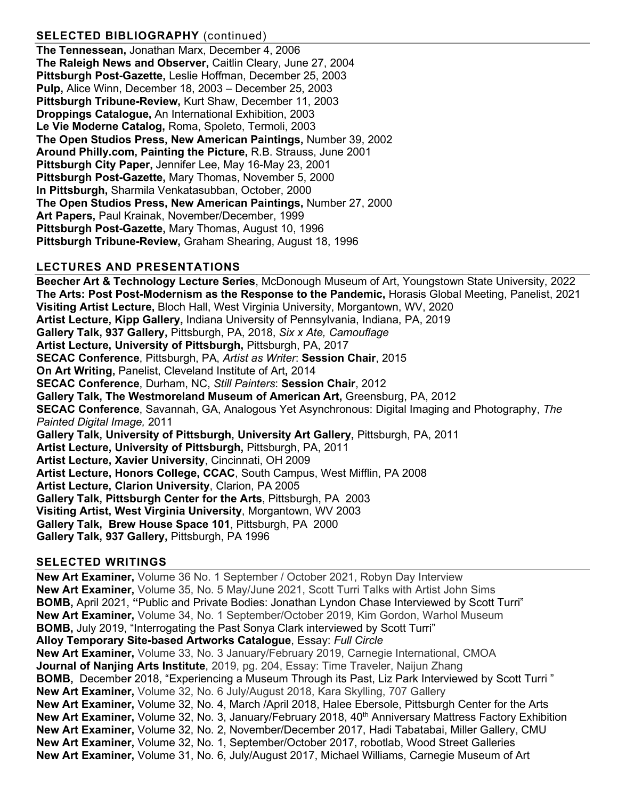# **SELECTED BIBLIOGRAPHY** (continued)

**The Tennessean,** Jonathan Marx, December 4, 2006 **The Raleigh News and Observer,** Caitlin Cleary, June 27, 2004 **Pittsburgh Post-Gazette,** Leslie Hoffman, December 25, 2003 **Pulp,** Alice Winn, December 18, 2003 – December 25, 2003 **Pittsburgh Tribune-Review,** Kurt Shaw, December 11, 2003 **Droppings Catalogue,** An International Exhibition, 2003 **Le Vie Moderne Catalog,** Roma, Spoleto, Termoli, 2003 **The Open Studios Press, New American Paintings,** Number 39, 2002 **Around Philly.com, Painting the Picture,** R.B. Strauss, June 2001 **Pittsburgh City Paper,** Jennifer Lee, May 16-May 23, 2001 **Pittsburgh Post-Gazette,** Mary Thomas, November 5, 2000 **In Pittsburgh,** Sharmila Venkatasubban, October, 2000 **The Open Studios Press, New American Paintings,** Number 27, 2000 **Art Papers,** Paul Krainak, November/December, 1999 **Pittsburgh Post-Gazette,** Mary Thomas, August 10, 1996 **Pittsburgh Tribune-Review,** Graham Shearing, August 18, 1996

## **LECTURES AND PRESENTATIONS**

**Beecher Art & Technology Lecture Series**, McDonough Museum of Art, Youngstown State University, 2022 **[The Arts: Post Post-Modernism as the Response to the Pandemic,](https://8cs64kkm.r.us-west-2.awstrack.me/L0/https:%2F%2Fwww.runtheworld.today%2Froom%2F60347/1/01010179daa7ed04-eb851945-a89d-451d-9a74-9a970dfcaa79-000000/1_fcNtbgNLqDcQImadtkO3BC9M0=217)** Horasis Global Meeting, Panelist, 2021 **Visiting Artist Lecture,** Bloch Hall, West Virginia University, Morgantown, WV, 2020 **Artist Lecture, Kipp Gallery,** Indiana University of Pennsylvania, Indiana, PA, 2019 **Gallery Talk, 937 Gallery,** Pittsburgh, PA, 2018, *Six x Ate, Camouflage* **Artist Lecture, University of Pittsburgh,** Pittsburgh, PA, 2017 **SECAC Conference**, Pittsburgh, PA, *Artist as Writer*: **Session Chair**, 2015 **On Art Writing,** Panelist, Cleveland Institute of Art**,** 2014 **SECAC Conference**, Durham, NC, *Still Painters*: **Session Chair**, 2012 **Gallery Talk, The Westmoreland Museum of American Art,** Greensburg, PA, 2012 **SECAC Conference**, Savannah, GA, Analogous Yet Asynchronous: Digital Imaging and Photography, *The Painted Digital Image,* 2011 **Gallery Talk, University of Pittsburgh, University Art Gallery,** Pittsburgh, PA, 2011 **Artist Lecture, University of Pittsburgh,** Pittsburgh, PA, 2011 **Artist Lecture, Xavier University**, Cincinnati, OH 2009 **Artist Lecture, Honors College, CCAC**, South Campus, West Mifflin, PA 2008 **Artist Lecture, Clarion University**, Clarion, PA 2005 **Gallery Talk, Pittsburgh Center for the Arts**, Pittsburgh, PA 2003 **Visiting Artist, West Virginia University**, Morgantown, WV 2003 **Gallery Talk, Brew House Space 101**, Pittsburgh, PA 2000 **Gallery Talk, 937 Gallery,** Pittsburgh, PA 1996

#### **SELECTED WRITINGS**

**New Art Examiner,** Volume 36 No. 1 September / October 2021, Robyn Day Interview **New Art Examiner,** Volume 35, No. 5 May/June 2021, Scott Turri Talks with Artist John Sims **BOMB,** April 2021, **"**Public and Private Bodies: Jonathan Lyndon Chase Interviewed by Scott Turri" **New Art Examiner,** Volume 34, No. 1 September/October 2019, Kim Gordon, Warhol Museum **BOMB,** July 2019, "Interrogating the Past Sonya Clark interviewed by Scott Turri" **Alloy Temporary Site-based Artworks Catalogue**, Essay: *Full Circle* **New Art Examiner,** Volume 33, No. 3 January/February 2019, Carnegie International, CMOA **Journal of Nanjing Arts Institute**, 2019, pg. 204, Essay: Time Traveler, Naijun Zhang **BOMB,** Decembe**r** 2018, "Experiencing a Museum Through its Past, Liz Park Interviewed by Scott Turri " **New Art Examiner,** Volume 32, No. 6 July/August 2018, Kara Skylling, 707 Gallery **New Art Examiner,** Volume 32, No. 4, March /April 2018, Halee Ebersole, Pittsburgh Center for the Arts **New Art Examiner,** Volume 32, No. 3, January/February 2018, 40<sup>th</sup> Anniversary Mattress Factory Exhibition **New Art Examiner,** Volume 32, No. 2, November/December 2017, Hadi Tabatabai, Miller Gallery, CMU **New Art Examiner,** Volume 32, No. 1, September/October 2017, robotlab, Wood Street Galleries **New Art Examiner,** Volume 31, No. 6, July/August 2017, Michael Williams, Carnegie Museum of Art